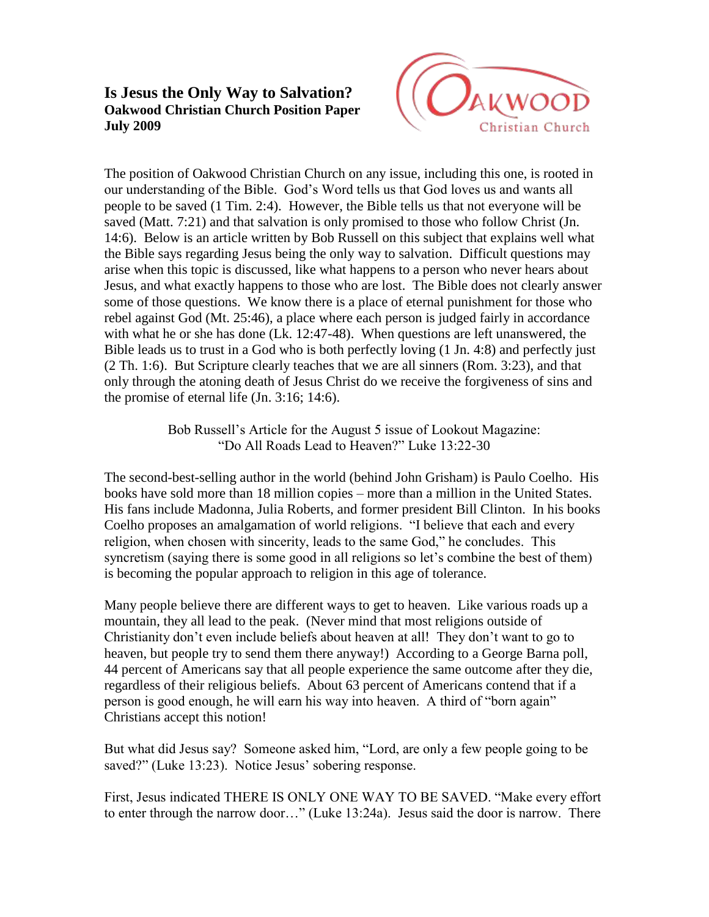## **Is Jesus the Only Way to Salvation? Oakwood Christian Church Position Paper July 2009**



The position of Oakwood Christian Church on any issue, including this one, is rooted in our understanding of the Bible. God's Word tells us that God loves us and wants all people to be saved (1 Tim. 2:4). However, the Bible tells us that not everyone will be saved (Matt. 7:21) and that salvation is only promised to those who follow Christ (Jn. 14:6). Below is an article written by Bob Russell on this subject that explains well what the Bible says regarding Jesus being the only way to salvation. Difficult questions may arise when this topic is discussed, like what happens to a person who never hears about Jesus, and what exactly happens to those who are lost. The Bible does not clearly answer some of those questions. We know there is a place of eternal punishment for those who rebel against God (Mt. 25:46), a place where each person is judged fairly in accordance with what he or she has done (Lk. 12:47-48). When questions are left unanswered, the Bible leads us to trust in a God who is both perfectly loving (1 Jn. 4:8) and perfectly just (2 Th. 1:6). But Scripture clearly teaches that we are all sinners (Rom. 3:23), and that only through the atoning death of Jesus Christ do we receive the forgiveness of sins and the promise of eternal life (Jn. 3:16; 14:6).

> Bob Russell's Article for the August 5 issue of Lookout Magazine: "Do All Roads Lead to Heaven?" Luke 13:22-30

The second-best-selling author in the world (behind John Grisham) is Paulo Coelho. His books have sold more than 18 million copies – more than a million in the United States. His fans include Madonna, Julia Roberts, and former president Bill Clinton. In his books Coelho proposes an amalgamation of world religions. "I believe that each and every religion, when chosen with sincerity, leads to the same God," he concludes. This syncretism (saying there is some good in all religions so let's combine the best of them) is becoming the popular approach to religion in this age of tolerance.

Many people believe there are different ways to get to heaven. Like various roads up a mountain, they all lead to the peak. (Never mind that most religions outside of Christianity don't even include beliefs about heaven at all! They don't want to go to heaven, but people try to send them there anyway!) According to a George Barna poll, 44 percent of Americans say that all people experience the same outcome after they die, regardless of their religious beliefs. About 63 percent of Americans contend that if a person is good enough, he will earn his way into heaven. A third of "born again" Christians accept this notion!

But what did Jesus say? Someone asked him, "Lord, are only a few people going to be saved?" (Luke 13:23). Notice Jesus' sobering response.

First, Jesus indicated THERE IS ONLY ONE WAY TO BE SAVED. "Make every effort to enter through the narrow door…" (Luke 13:24a). Jesus said the door is narrow. There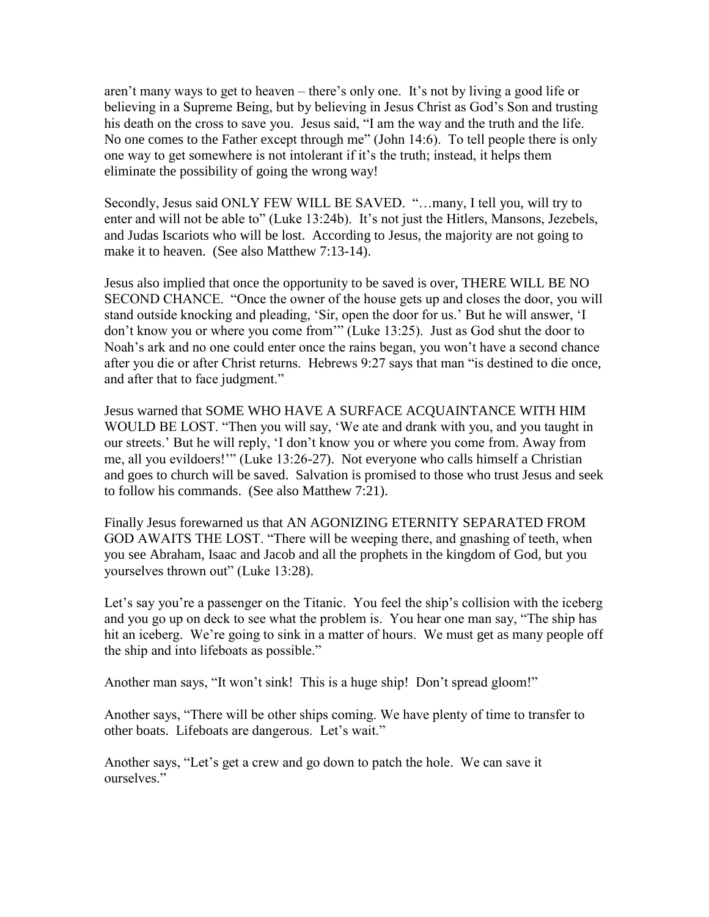aren't many ways to get to heaven – there's only one. It's not by living a good life or believing in a Supreme Being, but by believing in Jesus Christ as God's Son and trusting his death on the cross to save you. Jesus said, "I am the way and the truth and the life. No one comes to the Father except through me" (John 14:6). To tell people there is only one way to get somewhere is not intolerant if it's the truth; instead, it helps them eliminate the possibility of going the wrong way!

Secondly, Jesus said ONLY FEW WILL BE SAVED. "…many, I tell you, will try to enter and will not be able to" (Luke 13:24b). It's not just the Hitlers, Mansons, Jezebels, and Judas Iscariots who will be lost. According to Jesus, the majority are not going to make it to heaven. (See also Matthew 7:13-14).

Jesus also implied that once the opportunity to be saved is over, THERE WILL BE NO SECOND CHANCE. "Once the owner of the house gets up and closes the door, you will stand outside knocking and pleading, 'Sir, open the door for us.' But he will answer, 'I don't know you or where you come from'" (Luke 13:25). Just as God shut the door to Noah's ark and no one could enter once the rains began, you won't have a second chance after you die or after Christ returns. Hebrews 9:27 says that man "is destined to die once, and after that to face judgment."

Jesus warned that SOME WHO HAVE A SURFACE ACQUAINTANCE WITH HIM WOULD BE LOST. "Then you will say, 'We ate and drank with you, and you taught in our streets.' But he will reply, 'I don't know you or where you come from. Away from me, all you evildoers!'" (Luke 13:26-27). Not everyone who calls himself a Christian and goes to church will be saved. Salvation is promised to those who trust Jesus and seek to follow his commands. (See also Matthew 7:21).

Finally Jesus forewarned us that AN AGONIZING ETERNITY SEPARATED FROM GOD AWAITS THE LOST. "There will be weeping there, and gnashing of teeth, when you see Abraham, Isaac and Jacob and all the prophets in the kingdom of God, but you yourselves thrown out" (Luke 13:28).

Let's say you're a passenger on the Titanic. You feel the ship's collision with the iceberg and you go up on deck to see what the problem is. You hear one man say, "The ship has hit an iceberg. We're going to sink in a matter of hours. We must get as many people off the ship and into lifeboats as possible."

Another man says, "It won't sink! This is a huge ship! Don't spread gloom!"

Another says, "There will be other ships coming. We have plenty of time to transfer to other boats. Lifeboats are dangerous. Let's wait."

Another says, "Let's get a crew and go down to patch the hole. We can save it ourselves."